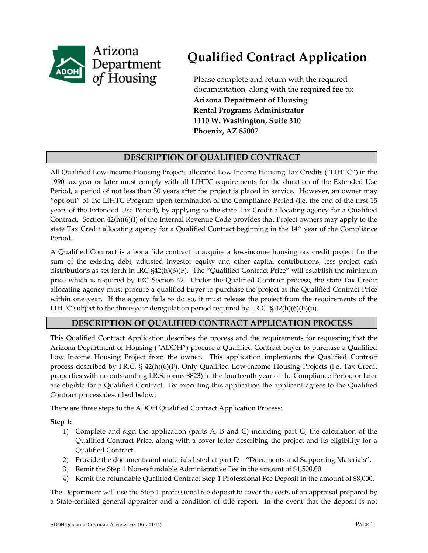

# **Qualified Contract Application**

Please complete and return with the required documentation, along with the **required fee** to: **Arizona Department of Housing Rental Programs Administrator 1110 W. Washington, Suite 310 Phoenix, AZ 85007**

# **DESCRIPTION OF QUALIFIED CONTRACT**

All Qualified Low‐Income Housing Projects allocated Low Income Housing Tax Credits ("LIHTC") in the 1990 tax year or later must comply with all LIHTC requirements for the duration of the Extended Use Period, a period of not less than 30 years after the project is placed in service. However, an owner may "opt out" of the LIHTC Program upon termination of the Compliance Period (i.e. the end of the first 15 years of the Extended Use Period), by applying to the state Tax Credit allocating agency for a Qualified Contract. Section 42(h)(6)(I) of the Internal Revenue Code provides that Project owners may apply to the state Tax Credit allocating agency for a Qualified Contract beginning in the 14<sup>th</sup> year of the Compliance Period.

A Qualified Contract is a bona fide contract to acquire a low‐income housing tax credit project for the sum of the existing debt, adjusted investor equity and other capital contributions, less project cash distributions as set forth in IRC §42(h)(6)(F). The "Qualified Contract Price" will establish the minimum price which is required by IRC Section 42. Under the Qualified Contract process, the state Tax Credit allocating agency must procure a qualified buyer to purchase the project at the Qualified Contract Price within one year. If the agency fails to do so, it must release the project from the requirements of the LIHTC subject to the three-year deregulation period required by I.R.C.  $\S$  42(h)(6)(E)(ii).

# **DESCRIPTION OF QUALIFIED CONTRACT APPLICATION PROCESS**

This Qualified Contract Application describes the process and the requirements for requesting that the Arizona Department of Housing ("ADOH") procure a Qualified Contract buyer to purchase a Qualified Low Income Housing Project from the owner. This application implements the Qualified Contract process described by I.R.C. § 42(h)(6)(F). Only Qualified Low‐Income Housing Projects (i.e. Tax Credit properties with no outstanding I.R.S. forms 8823) in the fourteenth year of the Compliance Period or later are eligible for a Qualified Contract. By executing this application the applicant agrees to the Qualified Contract process described below:

There are three steps to the ADOH Qualified Contract Application Process:

#### **Step 1:**

- 1) Complete and sign the application (parts A, B and C) including part G, the calculation of the Qualified Contract Price, along with a cover letter describing the project and its eligibility for a Qualified Contract.
- 2) Provide the documents and materials listed at part D "Documents and Supporting Materials".
- 3) Remit the Step 1 Non‐refundable Administrative Fee in the amount of \$1,500.00
- 4) Remit the refundable Qualified Contract Step 1 Professional Fee Deposit in the amount of \$8,000.

The Department will use the Step 1 professional fee deposit to cover the costs of an appraisal prepared by a State‐certified general appraiser and a condition of title report. In the event that the deposit is not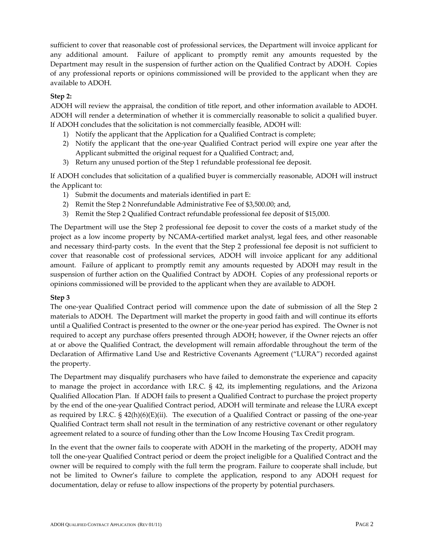sufficient to cover that reasonable cost of professional services, the Department will invoice applicant for any additional amount. Failure of applicant to promptly remit any amounts requested by the Department may result in the suspension of further action on the Qualified Contract by ADOH. Copies of any professional reports or opinions commissioned will be provided to the applicant when they are available to ADOH.

#### **Step 2:**

ADOH will review the appraisal, the condition of title report, and other information available to ADOH. ADOH will render a determination of whether it is commercially reasonable to solicit a qualified buyer. If ADOH concludes that the solicitation is not commercially feasible, ADOH will:

- 1) Notify the applicant that the Application for a Qualified Contract is complete;
- 2) Notify the applicant that the one‐year Qualified Contract period will expire one year after the Applicant submitted the original request for a Qualified Contract; and,
- 3) Return any unused portion of the Step 1 refundable professional fee deposit.

If ADOH concludes that solicitation of a qualified buyer is commercially reasonable, ADOH will instruct the Applicant to:

- 1) Submit the documents and materials identified in part E:
- 2) Remit the Step 2 Nonrefundable Administrative Fee of \$3,500.00; and,
- 3) Remit the Step 2 Qualified Contract refundable professional fee deposit of \$15,000.

The Department will use the Step 2 professional fee deposit to cover the costs of a market study of the project as a low income property by NCAMA‐certified market analyst, legal fees, and other reasonable and necessary third‐party costs. In the event that the Step 2 professional fee deposit is not sufficient to cover that reasonable cost of professional services, ADOH will invoice applicant for any additional amount. Failure of applicant to promptly remit any amounts requested by ADOH may result in the suspension of further action on the Qualified Contract by ADOH. Copies of any professional reports or opinions commissioned will be provided to the applicant when they are available to ADOH.

#### **Step 3**

The one‐year Qualified Contract period will commence upon the date of submission of all the Step 2 materials to ADOH. The Department will market the property in good faith and will continue its efforts until a Qualified Contract is presented to the owner or the one‐year period has expired. The Owner is not required to accept any purchase offers presented through ADOH; however, if the Owner rejects an offer at or above the Qualified Contract, the development will remain affordable throughout the term of the Declaration of Affirmative Land Use and Restrictive Covenants Agreement ("LURA") recorded against the property.

The Department may disqualify purchasers who have failed to demonstrate the experience and capacity to manage the project in accordance with I.R.C. § 42, its implementing regulations, and the Arizona Qualified Allocation Plan. If ADOH fails to present a Qualified Contract to purchase the project property by the end of the one‐year Qualified Contract period, ADOH will terminate and release the LURA except as required by I.R.C.  $\S 42(h)(6)(E)(ii)$ . The execution of a Qualified Contract or passing of the one-year Qualified Contract term shall not result in the termination of any restrictive covenant or other regulatory agreement related to a source of funding other than the Low Income Housing Tax Credit program.

In the event that the owner fails to cooperate with ADOH in the marketing of the property, ADOH may toll the one‐year Qualified Contract period or deem the project ineligible for a Qualified Contract and the owner will be required to comply with the full term the program. Failure to cooperate shall include, but not be limited to Owner's failure to complete the application, respond to any ADOH request for documentation, delay or refuse to allow inspections of the property by potential purchasers.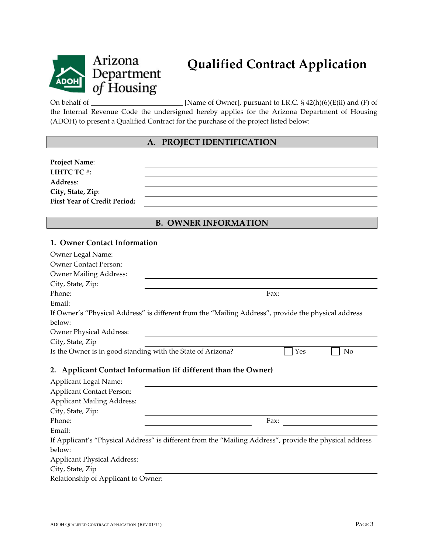

# Arizona Department of Housing

On behalf of  $\Box$  [Name of Owner], pursuant to I.R.C. § 42(h)(6)(E(ii) and (F) of the Internal Revenue Code the undersigned hereby applies for the Arizona Department of Housing (ADOH) to present a Qualified Contract for the purchase of the project listed below:

# **A. PROJECT IDENTIFICATION**

| <b>Project Name:</b>                |  |
|-------------------------------------|--|
| LIHTC TC#:                          |  |
| <b>Address:</b>                     |  |
| City, State, Zip:                   |  |
| <b>First Year of Credit Period:</b> |  |

# **B. OWNER INFORMATION**

#### **1. Owner Contact Information**

| Owner Legal Name:                                              |                                                                                                     |  |  |  |
|----------------------------------------------------------------|-----------------------------------------------------------------------------------------------------|--|--|--|
| <b>Owner Contact Person:</b>                                   |                                                                                                     |  |  |  |
| <b>Owner Mailing Address:</b>                                  |                                                                                                     |  |  |  |
| City, State, Zip:                                              |                                                                                                     |  |  |  |
| Phone:                                                         | Fax:                                                                                                |  |  |  |
| Email:                                                         |                                                                                                     |  |  |  |
|                                                                | If Owner's "Physical Address" is different from the "Mailing Address", provide the physical address |  |  |  |
| below:                                                         |                                                                                                     |  |  |  |
| <b>Owner Physical Address:</b>                                 |                                                                                                     |  |  |  |
| City, State, Zip                                               |                                                                                                     |  |  |  |
| Is the Owner is in good standing with the State of Arizona?    | Yes<br>No                                                                                           |  |  |  |
| 2. Applicant Contact Information (if different than the Owner) |                                                                                                     |  |  |  |
| Applicant Legal Name:                                          |                                                                                                     |  |  |  |
| <b>Applicant Contact Person:</b>                               |                                                                                                     |  |  |  |
|                                                                |                                                                                                     |  |  |  |

| <b>Applicant Contact Person:</b>    |                                                                                                         |
|-------------------------------------|---------------------------------------------------------------------------------------------------------|
| <b>Applicant Mailing Address:</b>   |                                                                                                         |
| City, State, Zip:                   |                                                                                                         |
| Phone:                              | Fax:                                                                                                    |
| Email:                              |                                                                                                         |
|                                     | If Applicant's "Physical Address" is different from the "Mailing Address", provide the physical address |
| below:                              |                                                                                                         |
| <b>Applicant Physical Address:</b>  |                                                                                                         |
| City, State, Zip                    |                                                                                                         |
| Relationship of Applicant to Owner: |                                                                                                         |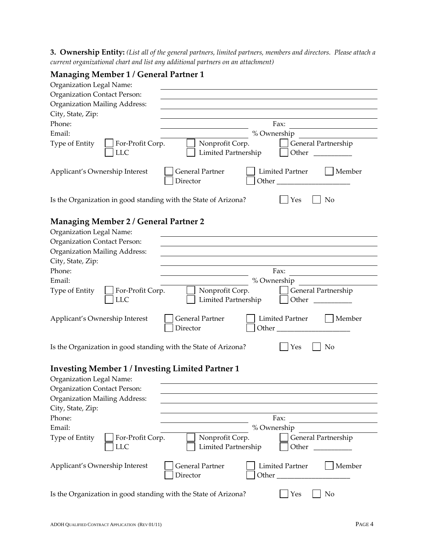3. Ownership Entity: (List all of the general partners, limited partners, members and directors. Please attach a *current organizational chart and list any additional partners on an attachment)*

# **Managing Member 1 / General Partner 1**

| Organization Legal Name:                                                                                                                                                         |                                                                                                                                                                                                                                                                                                                |
|----------------------------------------------------------------------------------------------------------------------------------------------------------------------------------|----------------------------------------------------------------------------------------------------------------------------------------------------------------------------------------------------------------------------------------------------------------------------------------------------------------|
| <b>Organization Contact Person:</b>                                                                                                                                              |                                                                                                                                                                                                                                                                                                                |
| <b>Organization Mailing Address:</b>                                                                                                                                             |                                                                                                                                                                                                                                                                                                                |
| City, State, Zip:                                                                                                                                                                |                                                                                                                                                                                                                                                                                                                |
| Phone:                                                                                                                                                                           | Fax:                                                                                                                                                                                                                                                                                                           |
| Email:                                                                                                                                                                           | % Ownership                                                                                                                                                                                                                                                                                                    |
| Type of Entity<br>For-Profit Corp.<br><b>LLC</b>                                                                                                                                 | Nonprofit Corp.<br>General Partnership<br>Limited Partnership<br>Other                                                                                                                                                                                                                                         |
| Applicant's Ownership Interest                                                                                                                                                   | <b>Limited Partner</b><br><b>General Partner</b><br>Member<br>Director<br>Other                                                                                                                                                                                                                                |
| Is the Organization in good standing with the State of Arizona?                                                                                                                  | Yes<br>No                                                                                                                                                                                                                                                                                                      |
| <b>Managing Member 2 / General Partner 2</b><br>Organization Legal Name:<br><b>Organization Contact Person:</b><br><b>Organization Mailing Address:</b><br>City, State, Zip:     |                                                                                                                                                                                                                                                                                                                |
| Phone:                                                                                                                                                                           | Fax:                                                                                                                                                                                                                                                                                                           |
| Email:                                                                                                                                                                           | % Ownership                                                                                                                                                                                                                                                                                                    |
| Type of Entity<br>For-Profit Corp.<br><b>LLC</b>                                                                                                                                 | Nonprofit Corp.<br>General Partnership<br>Limited Partnership<br>Other                                                                                                                                                                                                                                         |
| Applicant's Ownership Interest                                                                                                                                                   | <b>General Partner</b><br><b>Limited Partner</b><br>Member<br>Director<br>Other <b>Communist Communist Communist Communist Communist Communist Communist Communist Communist Communist Communist Communist Communist Communist Communist Communist Communist Communist Communist Communist Communist Commu</b> |
| Is the Organization in good standing with the State of Arizona?                                                                                                                  | Yes<br>No                                                                                                                                                                                                                                                                                                      |
| <b>Investing Member 1 / Investing Limited Partner 1</b><br>Organization Legal Name:<br>Organization Contact Person:<br><b>Organization Mailing Address:</b><br>City, State, Zip: |                                                                                                                                                                                                                                                                                                                |
| Phone:                                                                                                                                                                           | Fax:                                                                                                                                                                                                                                                                                                           |
| Email:                                                                                                                                                                           | % Ownership                                                                                                                                                                                                                                                                                                    |
| Type of Entity<br>For-Profit Corp.<br><b>LLC</b>                                                                                                                                 | Nonprofit Corp.<br>General Partnership<br>Limited Partnership<br>Other                                                                                                                                                                                                                                         |
| Applicant's Ownership Interest                                                                                                                                                   | <b>General Partner</b><br>Member<br><b>Limited Partner</b><br>Director<br>Other $\frac{1}{\sqrt{1-\frac{1}{2}}\cdot\frac{1}{\sqrt{1-\frac{1}{2}}}}$                                                                                                                                                            |
| Is the Organization in good standing with the State of Arizona?                                                                                                                  | No<br>Yes                                                                                                                                                                                                                                                                                                      |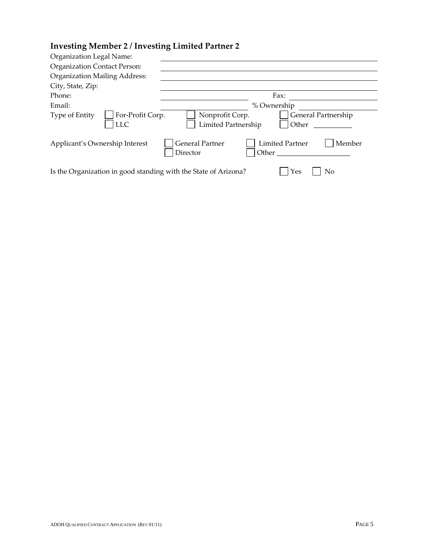# **Investing Member 2 / Investing Limited Partner 2**

| Organization Legal Name:                                        |                                                                          |  |  |
|-----------------------------------------------------------------|--------------------------------------------------------------------------|--|--|
| <b>Organization Contact Person:</b>                             |                                                                          |  |  |
| <b>Organization Mailing Address:</b>                            |                                                                          |  |  |
| City, State, Zip:                                               |                                                                          |  |  |
| Phone:                                                          | Fax:                                                                     |  |  |
| Email:                                                          | % Ownership                                                              |  |  |
| For-Profit Corp.<br>Type of Entity<br><b>LLC</b>                | General Partnership<br>Nonprofit Corp.<br>Limited Partnership<br>Other   |  |  |
| Applicant's Ownership Interest                                  | <b>General Partner</b><br>Limited Partner<br>Member<br>Director<br>Other |  |  |
| Is the Organization in good standing with the State of Arizona? | Yes<br>No                                                                |  |  |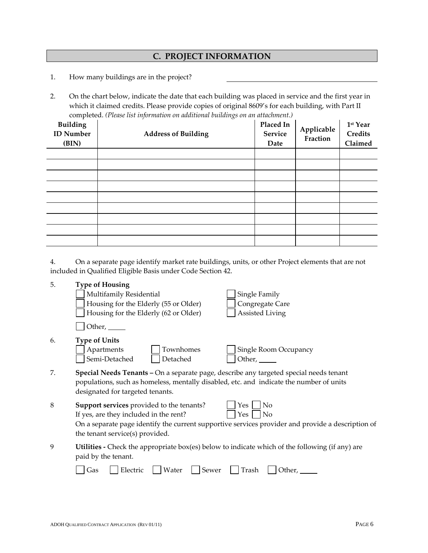# **C. PROJECT INFORMATION**

- 1. How many buildings are in the project?
- 2. On the chart below, indicate the date that each building was placed in service and the first year in which it claimed credits. Please provide copies of original 8609's for each building, with Part II completed. *(Please list information on additional buildings on an attachment.)*

| <b>Building</b><br><b>ID</b> Number<br>(BIN) | <b>Address of Building</b> | Placed In<br>Service<br>Date | Applicable<br>Fraction | 1st Year<br><b>Credits</b><br>Claimed |
|----------------------------------------------|----------------------------|------------------------------|------------------------|---------------------------------------|
|                                              |                            |                              |                        |                                       |
|                                              |                            |                              |                        |                                       |
|                                              |                            |                              |                        |                                       |
|                                              |                            |                              |                        |                                       |
|                                              |                            |                              |                        |                                       |
|                                              |                            |                              |                        |                                       |
|                                              |                            |                              |                        |                                       |
|                                              |                            |                              |                        |                                       |
|                                              |                            |                              |                        |                                       |

4. On a separate page identify market rate buildings, units, or other Project elements that are not included in Qualified Eligible Basis under Code Section 42.

| 5.      | <b>Type of Housing</b>                                                                                                                                                                                                |                                                                                                   |
|---------|-----------------------------------------------------------------------------------------------------------------------------------------------------------------------------------------------------------------------|---------------------------------------------------------------------------------------------------|
|         | Multifamily Residential                                                                                                                                                                                               | Single Family                                                                                     |
|         | Housing for the Elderly (55 or Older)                                                                                                                                                                                 | Congregate Care                                                                                   |
|         | Housing for the Elderly (62 or Older)                                                                                                                                                                                 | Assisted Living                                                                                   |
|         | Other,                                                                                                                                                                                                                |                                                                                                   |
| 6.      | <b>Type of Units</b>                                                                                                                                                                                                  |                                                                                                   |
|         | Apartments<br>Townhomes                                                                                                                                                                                               | Single Room Occupancy                                                                             |
|         | Semi-Detached<br>Detached                                                                                                                                                                                             | Other, $\_\_\_\_\_\$                                                                              |
| 7.      | Special Needs Tenants - On a separate page, describe any targeted special needs tenant<br>populations, such as homeless, mentally disabled, etc. and indicate the number of units<br>designated for targeted tenants. |                                                                                                   |
| $\,8\,$ | Support services provided to the tenants?                                                                                                                                                                             | No<br>Yes                                                                                         |
|         | If yes, are they included in the rent?                                                                                                                                                                                | No<br>Yes                                                                                         |
|         | the tenant service(s) provided.                                                                                                                                                                                       | On a separate page identify the current supportive services provider and provide a description of |
| 9       | Utilities - Check the appropriate box(es) below to indicate which of the following (if any) are<br>paid by the tenant.                                                                                                |                                                                                                   |
|         | Water<br>Electric<br>Sewer<br>Gas                                                                                                                                                                                     | Trash<br>Other,                                                                                   |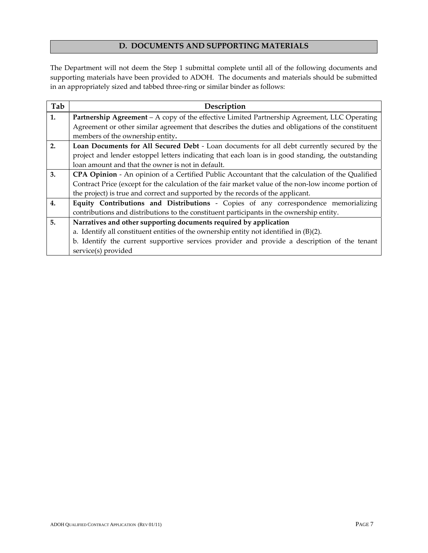#### **D. DOCUMENTS AND SUPPORTING MATERIALS**

The Department will not deem the Step 1 submittal complete until all of the following documents and supporting materials have been provided to ADOH. The documents and materials should be submitted in an appropriately sized and tabbed three-ring or similar binder as follows:

| Tab | Description                                                                                            |  |  |  |
|-----|--------------------------------------------------------------------------------------------------------|--|--|--|
| 1.  | Partnership Agreement – A copy of the effective Limited Partnership Agreement, LLC Operating           |  |  |  |
|     | Agreement or other similar agreement that describes the duties and obligations of the constituent      |  |  |  |
|     | members of the ownership entity.                                                                       |  |  |  |
| 2.  | Loan Documents for All Secured Debt - Loan documents for all debt currently secured by the             |  |  |  |
|     | project and lender estoppel letters indicating that each loan is in good standing, the outstanding     |  |  |  |
|     | loan amount and that the owner is not in default.                                                      |  |  |  |
| 3.  | <b>CPA Opinion</b> - An opinion of a Certified Public Accountant that the calculation of the Qualified |  |  |  |
|     | Contract Price (except for the calculation of the fair market value of the non-low income portion of   |  |  |  |
|     | the project) is true and correct and supported by the records of the applicant.                        |  |  |  |
| 4.  | Equity Contributions and Distributions - Copies of any correspondence memorializing                    |  |  |  |
|     | contributions and distributions to the constituent participants in the ownership entity.               |  |  |  |
| 5.  | Narratives and other supporting documents required by application                                      |  |  |  |
|     | a. Identify all constituent entities of the ownership entity not identified in $(B)(2)$ .              |  |  |  |
|     | b. Identify the current supportive services provider and provide a description of the tenant           |  |  |  |
|     | service(s) provided                                                                                    |  |  |  |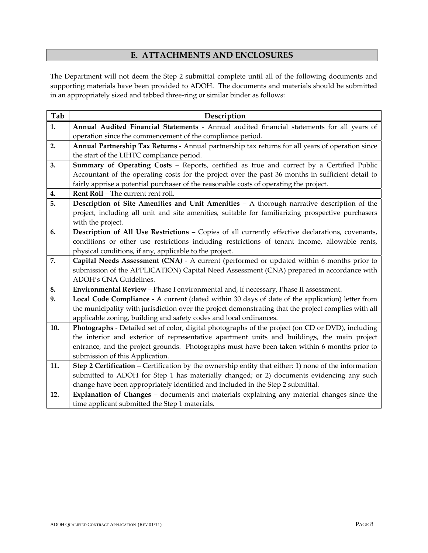# **E. ATTACHMENTS AND ENCLOSURES**

The Department will not deem the Step 2 submittal complete until all of the following documents and supporting materials have been provided to ADOH. The documents and materials should be submitted in an appropriately sized and tabbed three‐ring or similar binder as follows:

| Tab | Description                                                                                          |  |  |
|-----|------------------------------------------------------------------------------------------------------|--|--|
| 1.  | Annual Audited Financial Statements - Annual audited financial statements for all years of           |  |  |
|     | operation since the commencement of the compliance period.                                           |  |  |
| 2.  | Annual Partnership Tax Returns - Annual partnership tax returns for all years of operation since     |  |  |
|     | the start of the LIHTC compliance period.                                                            |  |  |
| 3.  | Summary of Operating Costs - Reports, certified as true and correct by a Certified Public            |  |  |
|     | Accountant of the operating costs for the project over the past 36 months in sufficient detail to    |  |  |
|     | fairly apprise a potential purchaser of the reasonable costs of operating the project.               |  |  |
| 4.  | Rent Roll - The current rent roll.                                                                   |  |  |
| 5.  | Description of Site Amenities and Unit Amenities - A thorough narrative description of the           |  |  |
|     | project, including all unit and site amenities, suitable for familiarizing prospective purchasers    |  |  |
|     | with the project.                                                                                    |  |  |
| 6.  | Description of All Use Restrictions - Copies of all currently effective declarations, covenants,     |  |  |
|     | conditions or other use restrictions including restrictions of tenant income, allowable rents,       |  |  |
|     | physical conditions, if any, applicable to the project.                                              |  |  |
| 7.  | Capital Needs Assessment (CNA) - A current (performed or updated within 6 months prior to            |  |  |
|     | submission of the APPLICATION) Capital Need Assessment (CNA) prepared in accordance with             |  |  |
|     | ADOH's CNA Guidelines.                                                                               |  |  |
| 8.  | Environmental Review - Phase I environmental and, if necessary, Phase II assessment.                 |  |  |
| 9.  | Local Code Compliance - A current (dated within 30 days of date of the application) letter from      |  |  |
|     | the municipality with jurisdiction over the project demonstrating that the project complies with all |  |  |
|     | applicable zoning, building and safety codes and local ordinances.                                   |  |  |
| 10. | Photographs - Detailed set of color, digital photographs of the project (on CD or DVD), including    |  |  |
|     | the interior and exterior of representative apartment units and buildings, the main project          |  |  |
|     | entrance, and the project grounds. Photographs must have been taken within 6 months prior to         |  |  |
|     | submission of this Application.                                                                      |  |  |
| 11. | Step 2 Certification - Certification by the ownership entity that either: 1) none of the information |  |  |
|     | submitted to ADOH for Step 1 has materially changed; or 2) documents evidencing any such             |  |  |
|     | change have been appropriately identified and included in the Step 2 submittal.                      |  |  |
| 12. | Explanation of Changes - documents and materials explaining any material changes since the           |  |  |
|     | time applicant submitted the Step 1 materials.                                                       |  |  |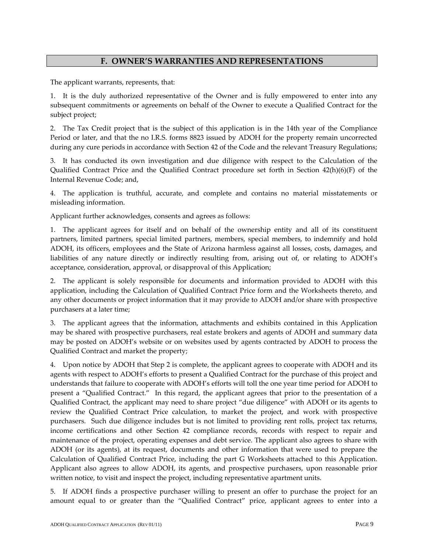#### **F. OWNER'S WARRANTIES AND REPRESENTATIONS**

The applicant warrants, represents, that:

1. It is the duly authorized representative of the Owner and is fully empowered to enter into any subsequent commitments or agreements on behalf of the Owner to execute a Qualified Contract for the subject project;

2. The Tax Credit project that is the subject of this application is in the 14th year of the Compliance Period or later, and that the no I.R.S. forms 8823 issued by ADOH for the property remain uncorrected during any cure periods in accordance with Section 42 of the Code and the relevant Treasury Regulations;

3. It has conducted its own investigation and due diligence with respect to the Calculation of the Qualified Contract Price and the Qualified Contract procedure set forth in Section 42(h)(6)(F) of the Internal Revenue Code; and,

4. The application is truthful, accurate, and complete and contains no material misstatements or misleading information.

Applicant further acknowledges, consents and agrees as follows:

1. The applicant agrees for itself and on behalf of the ownership entity and all of its constituent partners, limited partners, special limited partners, members, special members, to indemnify and hold ADOH, its officers, employees and the State of Arizona harmless against all losses, costs, damages, and liabilities of any nature directly or indirectly resulting from, arising out of, or relating to ADOH's acceptance, consideration, approval, or disapproval of this Application;

2. The applicant is solely responsible for documents and information provided to ADOH with this application, including the Calculation of Qualified Contract Price form and the Worksheets thereto, and any other documents or project information that it may provide to ADOH and/or share with prospective purchasers at a later time;

3. The applicant agrees that the information, attachments and exhibits contained in this Application may be shared with prospective purchasers, real estate brokers and agents of ADOH and summary data may be posted on ADOH's website or on websites used by agents contracted by ADOH to process the Qualified Contract and market the property;

4. Upon notice by ADOH that Step 2 is complete, the applicant agrees to cooperate with ADOH and its agents with respect to ADOH's efforts to present a Qualified Contract for the purchase of this project and understands that failure to cooperate with ADOH's efforts will toll the one year time period for ADOH to present a "Qualified Contract." In this regard, the applicant agrees that prior to the presentation of a Qualified Contract, the applicant may need to share project "due diligence" with ADOH or its agents to review the Qualified Contract Price calculation, to market the project, and work with prospective purchasers. Such due diligence includes but is not limited to providing rent rolls, project tax returns, income certifications and other Section 42 compliance records, records with respect to repair and maintenance of the project, operating expenses and debt service. The applicant also agrees to share with ADOH (or its agents), at its request, documents and other information that were used to prepare the Calculation of Qualified Contract Price, including the part G Worksheets attached to this Application. Applicant also agrees to allow ADOH, its agents, and prospective purchasers, upon reasonable prior written notice, to visit and inspect the project, including representative apartment units.

5. If ADOH finds a prospective purchaser willing to present an offer to purchase the project for an amount equal to or greater than the "Qualified Contract" price, applicant agrees to enter into a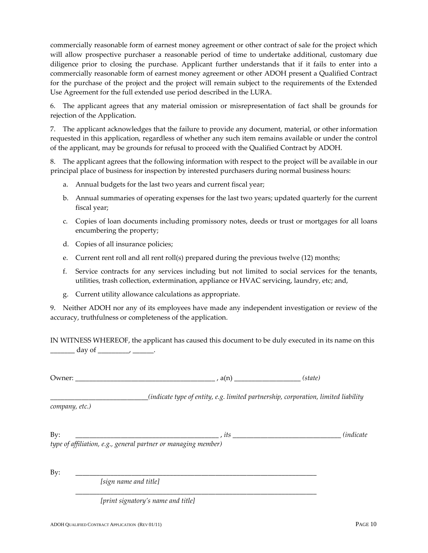commercially reasonable form of earnest money agreement or other contract of sale for the project which will allow prospective purchaser a reasonable period of time to undertake additional, customary due diligence prior to closing the purchase. Applicant further understands that if it fails to enter into a commercially reasonable form of earnest money agreement or other ADOH present a Qualified Contract for the purchase of the project and the project will remain subject to the requirements of the Extended Use Agreement for the full extended use period described in the LURA.

6. The applicant agrees that any material omission or misrepresentation of fact shall be grounds for rejection of the Application.

7. The applicant acknowledges that the failure to provide any document, material, or other information requested in this application, regardless of whether any such item remains available or under the control of the applicant, may be grounds for refusal to proceed with the Qualified Contract by ADOH.

8. The applicant agrees that the following information with respect to the project will be available in our principal place of business for inspection by interested purchasers during normal business hours:

- a. Annual budgets for the last two years and current fiscal year;
- b. Annual summaries of operating expenses for the last two years; updated quarterly for the current fiscal year;
- c. Copies of loan documents including promissory notes, deeds or trust or mortgages for all loans encumbering the property;
- d. Copies of all insurance policies;
- e. Current rent roll and all rent roll(s) prepared during the previous twelve (12) months;
- f. Service contracts for any services including but not limited to social services for the tenants, utilities, trash collection, extermination, appliance or HVAC servicing, laundry, etc; and,
- g. Current utility allowance calculations as appropriate.

9. Neither ADOH nor any of its employees have made any independent investigation or review of the accuracy, truthfulness or completeness of the application.

IN WITNESS WHEREOF, the applicant has caused this document to be duly executed in its name on this  $\frac{day}{y}$  day of  $\frac{dy}{dx}$ 

Owner: \_\_\_\_\_\_\_\_\_\_\_\_\_\_\_\_\_\_\_\_\_\_\_\_\_\_\_\_\_\_\_\_\_\_\_\_\_\_\_\_ , a(n) *\_\_\_\_\_\_\_\_\_\_\_\_\_\_\_\_\_\_\_ (state)* 

*\_\_\_\_\_\_\_\_\_\_\_\_\_\_\_\_\_\_\_\_\_\_\_\_\_\_\_\_(indicate type of entity, e.g. limited partnership, corporation, limited liability*

*company, etc.)*

| Bv                                                             |  |
|----------------------------------------------------------------|--|
| type of affiliation, e.g., general partner or managing member) |  |

\_\_\_\_\_\_\_\_\_\_\_\_\_\_\_\_\_\_\_\_\_\_\_\_\_\_\_\_\_\_\_\_\_\_\_\_\_\_\_\_\_\_\_\_\_\_\_\_\_\_\_\_\_\_\_\_\_\_\_\_\_\_\_\_\_\_\_\_\_

By: \_\_\_\_\_\_\_\_\_\_\_\_\_\_\_\_\_\_\_\_\_\_\_\_\_\_\_\_\_\_\_\_\_\_\_\_\_\_\_\_\_\_\_\_\_\_\_\_\_\_\_\_\_\_\_\_\_\_\_\_\_\_\_\_\_\_\_\_\_

*[sign name and title]*

*[print signatory's name and title]*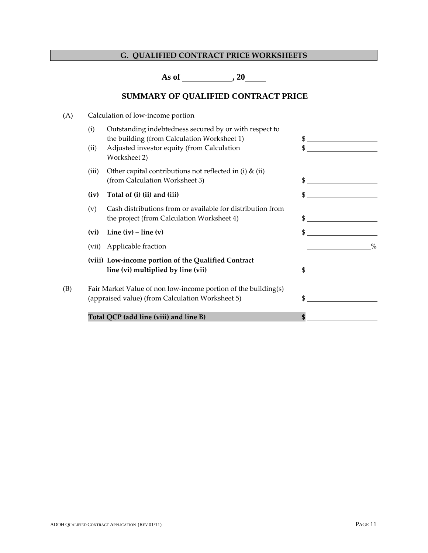# **G. QUALIFIED CONTRACT PRICE WORKSHEETS**

**As of , 20** 

# **SUMMARY OF QUALIFIED CONTRACT PRICE**

| (A) |             | Calculation of low-income portion                                                                                                                                   |               |
|-----|-------------|---------------------------------------------------------------------------------------------------------------------------------------------------------------------|---------------|
|     | (i)<br>(ii) | Outstanding indebtedness secured by or with respect to<br>the building (from Calculation Worksheet 1)<br>Adjusted investor equity (from Calculation<br>Worksheet 2) | \$<br>\$      |
|     | (iii)       | Other capital contributions not reflected in (i) $\&$ (ii)<br>(from Calculation Worksheet 3)                                                                        | \$            |
|     | (iv)        | Total of (i) (ii) and (iii)                                                                                                                                         | \$            |
|     | (v)         | Cash distributions from or available for distribution from<br>the project (from Calculation Worksheet 4)                                                            |               |
|     | (vi)        | Line $(iv)$ – line $(v)$                                                                                                                                            | $\mathbb{S}$  |
|     | (vii)       | Applicable fraction                                                                                                                                                 | $\frac{0}{0}$ |
|     |             | (viii) Low-income portion of the Qualified Contract<br>line (vi) multiplied by line (vii)                                                                           | \$            |
| (B) |             | Fair Market Value of non low-income portion of the building(s)<br>(appraised value) (from Calculation Worksheet 5)                                                  | \$            |
|     |             | Total QCP (add line (viii) and line B)                                                                                                                              | \$            |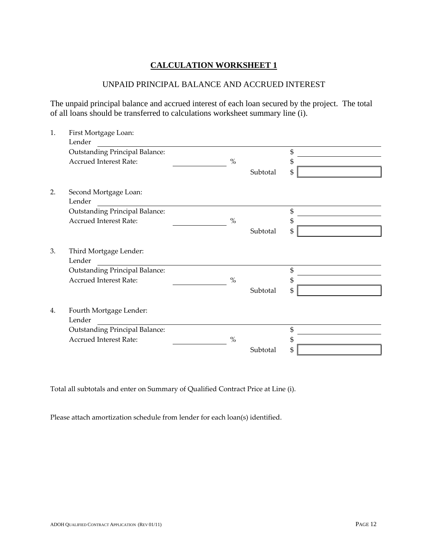#### UNPAID PRINCIPAL BALANCE AND ACCRUED INTEREST

The unpaid principal balance and accrued interest of each loan secured by the project. The total of all loans should be transferred to calculations worksheet summary line (i).

| 1. | First Mortgage Loan:                  |      |          |    |  |  |
|----|---------------------------------------|------|----------|----|--|--|
|    | Lender                                |      |          |    |  |  |
|    | <b>Outstanding Principal Balance:</b> |      |          | \$ |  |  |
|    | <b>Accrued Interest Rate:</b>         | $\%$ |          | \$ |  |  |
|    |                                       |      | Subtotal | \$ |  |  |
| 2. | Second Mortgage Loan:                 |      |          |    |  |  |
|    | Lender                                |      |          |    |  |  |
|    | <b>Outstanding Principal Balance:</b> |      |          | \$ |  |  |
|    | <b>Accrued Interest Rate:</b>         | $\%$ |          | \$ |  |  |
|    |                                       |      | Subtotal | \$ |  |  |
| 3. | Third Mortgage Lender:<br>Lender      |      |          |    |  |  |
|    | <b>Outstanding Principal Balance:</b> |      |          | \$ |  |  |
|    | <b>Accrued Interest Rate:</b>         | $\%$ |          | \$ |  |  |
|    |                                       |      | Subtotal | \$ |  |  |
| 4. | Fourth Mortgage Lender:               |      |          |    |  |  |
|    | Lender                                |      |          |    |  |  |
|    | <b>Outstanding Principal Balance:</b> |      |          | \$ |  |  |
|    | <b>Accrued Interest Rate:</b>         | $\%$ |          | \$ |  |  |
|    |                                       |      | Subtotal | \$ |  |  |

Total all subtotals and enter on Summary of Qualified Contract Price at Line (i).

Please attach amortization schedule from lender for each loan(s) identified.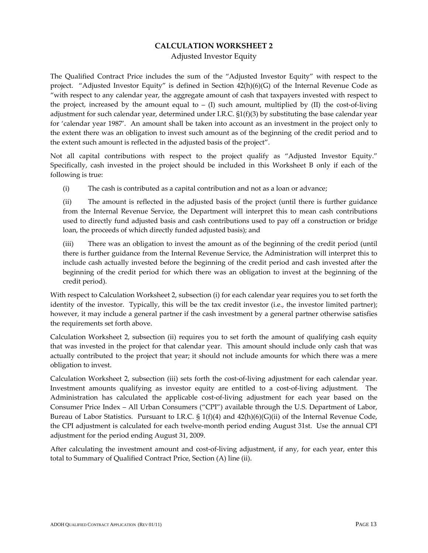Adjusted Investor Equity

The Qualified Contract Price includes the sum of the "Adjusted Investor Equity" with respect to the project. "Adjusted Investor Equity" is defined in Section 42(h)(6)(G) of the Internal Revenue Code as "with respect to any calendar year, the aggregate amount of cash that taxpayers invested with respect to the project, increased by the amount equal to – (I) such amount, multiplied by (II) the cost-of-living adjustment for such calendar year, determined under I.R.C. §1(f)(3) by substituting the base calendar year for 'calendar year 1987'. An amount shall be taken into account as an investment in the project only to the extent there was an obligation to invest such amount as of the beginning of the credit period and to the extent such amount is reflected in the adjusted basis of the project".

Not all capital contributions with respect to the project qualify as "Adjusted Investor Equity." Specifically, cash invested in the project should be included in this Worksheet B only if each of the following is true:

(i) The cash is contributed as a capital contribution and not as a loan or advance;

(ii) The amount is reflected in the adjusted basis of the project (until there is further guidance from the Internal Revenue Service, the Department will interpret this to mean cash contributions used to directly fund adjusted basis and cash contributions used to pay off a construction or bridge loan, the proceeds of which directly funded adjusted basis); and

(iii) There was an obligation to invest the amount as of the beginning of the credit period (until there is further guidance from the Internal Revenue Service, the Administration will interpret this to include cash actually invested before the beginning of the credit period and cash invested after the beginning of the credit period for which there was an obligation to invest at the beginning of the credit period).

With respect to Calculation Worksheet 2, subsection (i) for each calendar year requires you to set forth the identity of the investor. Typically, this will be the tax credit investor (i.e., the investor limited partner); however, it may include a general partner if the cash investment by a general partner otherwise satisfies the requirements set forth above.

Calculation Worksheet 2, subsection (ii) requires you to set forth the amount of qualifying cash equity that was invested in the project for that calendar year. This amount should include only cash that was actually contributed to the project that year; it should not include amounts for which there was a mere obligation to invest.

Calculation Worksheet 2, subsection (iii) sets forth the cost‐of‐living adjustment for each calendar year. Investment amounts qualifying as investor equity are entitled to a cost-of-living adjustment. The Administration has calculated the applicable cost‐of‐living adjustment for each year based on the Consumer Price Index – All Urban Consumers ("CPI") available through the U.S. Department of Labor, Bureau of Labor Statistics. Pursuant to I.R.C.  $\S 1(f)(4)$  and  $42(h)(6)(G)(ii)$  of the Internal Revenue Code, the CPI adjustment is calculated for each twelve-month period ending August 31st. Use the annual CPI adjustment for the period ending August 31, 2009.

After calculating the investment amount and cost-of-living adjustment, if any, for each year, enter this total to Summary of Qualified Contract Price, Section (A) line (ii).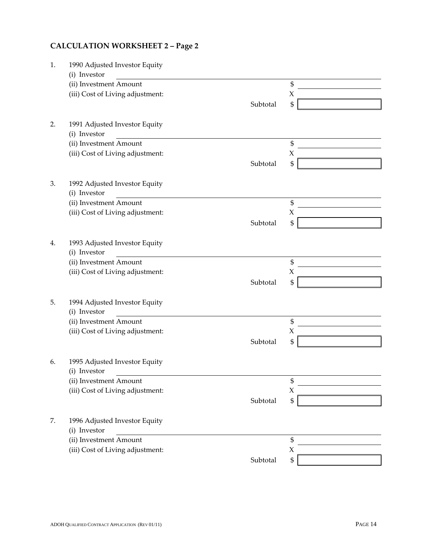# **CALCULATION WORKSHEET 2 – Page 2**

| 1. | 1990 Adjusted Investor Equity    |          |                     |
|----|----------------------------------|----------|---------------------|
|    | (i) Investor                     |          |                     |
|    | (ii) Investment Amount           |          | \$                  |
|    | (iii) Cost of Living adjustment: |          | $\boldsymbol{\chi}$ |
|    |                                  | Subtotal | \$                  |
| 2. | 1991 Adjusted Investor Equity    |          |                     |
|    | (i) Investor                     |          |                     |
|    | (ii) Investment Amount           |          | \$                  |
|    | (iii) Cost of Living adjustment: |          | $\chi$              |
|    |                                  | Subtotal | \$                  |
| 3. | 1992 Adjusted Investor Equity    |          |                     |
|    | (i) Investor                     |          |                     |
|    | (ii) Investment Amount           |          | \$                  |
|    | (iii) Cost of Living adjustment: |          | $\chi$              |
|    |                                  | Subtotal | \$                  |
| 4. | 1993 Adjusted Investor Equity    |          |                     |
|    | (i) Investor                     |          |                     |
|    | (ii) Investment Amount           |          | \$                  |
|    | (iii) Cost of Living adjustment: |          | X                   |
|    |                                  | Subtotal | \$                  |
| 5. | 1994 Adjusted Investor Equity    |          |                     |
|    | (i) Investor                     |          |                     |
|    | (ii) Investment Amount           |          | \$                  |
|    | (iii) Cost of Living adjustment: |          | $\chi$              |
|    |                                  | Subtotal | \$                  |
| 6. | 1995 Adjusted Investor Equity    |          |                     |
|    | (i) Investor                     |          |                     |
|    | (ii) Investment Amount           |          | \$                  |
|    | (iii) Cost of Living adjustment: |          | $\chi$              |
|    |                                  | Subtotal | \$                  |
| 7. | 1996 Adjusted Investor Equity    |          |                     |
|    | (i) Investor                     |          |                     |
|    | (ii) Investment Amount           |          | \$                  |
|    | (iii) Cost of Living adjustment: |          | $\chi$              |
|    |                                  | Subtotal | \$                  |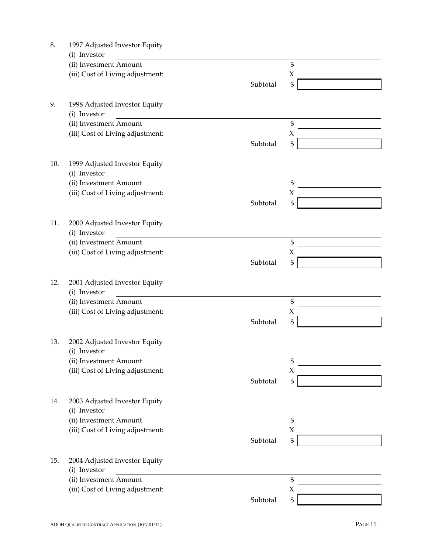| 8.  | 1997 Adjusted Investor Equity    |          |                     |
|-----|----------------------------------|----------|---------------------|
|     | (i) Investor                     |          |                     |
|     | (ii) Investment Amount           |          | \$                  |
|     | (iii) Cost of Living adjustment: |          | $\boldsymbol{\chi}$ |
|     |                                  | Subtotal | \$                  |
|     |                                  |          |                     |
| 9.  | 1998 Adjusted Investor Equity    |          |                     |
|     | (i) Investor                     |          |                     |
|     | (ii) Investment Amount           |          | \$                  |
|     | (iii) Cost of Living adjustment: |          | $\boldsymbol{\chi}$ |
|     |                                  | Subtotal | \$                  |
|     |                                  |          |                     |
| 10. | 1999 Adjusted Investor Equity    |          |                     |
|     | (i) Investor                     |          |                     |
|     | (ii) Investment Amount           |          | \$                  |
|     | (iii) Cost of Living adjustment: |          | $\boldsymbol{\chi}$ |
|     |                                  | Subtotal | \$                  |
|     |                                  |          |                     |
| 11. | 2000 Adjusted Investor Equity    |          |                     |
|     | (i) Investor                     |          |                     |
|     | (ii) Investment Amount           |          | \$                  |
|     | (iii) Cost of Living adjustment: |          | $\chi$              |
|     |                                  | Subtotal | $\mathfrak{S}$      |
|     |                                  |          |                     |
| 12. | 2001 Adjusted Investor Equity    |          |                     |
|     | (i) Investor                     |          |                     |
|     | (ii) Investment Amount           |          | \$                  |
|     | (iii) Cost of Living adjustment: |          | $\boldsymbol{\chi}$ |
|     |                                  | Subtotal | \$                  |
|     |                                  |          |                     |
| 13. | 2002 Adjusted Investor Equity    |          |                     |
|     | (i) Investor                     |          |                     |
|     | (ii) Investment Amount           |          | \$                  |
|     | (iii) Cost of Living adjustment: |          | X                   |
|     |                                  | Subtotal | \$                  |
|     |                                  |          |                     |
| 14. | 2003 Adjusted Investor Equity    |          |                     |
|     | (i) Investor                     |          |                     |
|     | (ii) Investment Amount           |          | \$                  |
|     | (iii) Cost of Living adjustment: |          | X                   |
|     |                                  | Subtotal | \$                  |
|     |                                  |          |                     |
| 15. | 2004 Adjusted Investor Equity    |          |                     |
|     | (i) Investor                     |          |                     |
|     | (ii) Investment Amount           |          | \$                  |
|     | (iii) Cost of Living adjustment: |          | $\mathsf X$         |
|     |                                  | Subtotal | \$                  |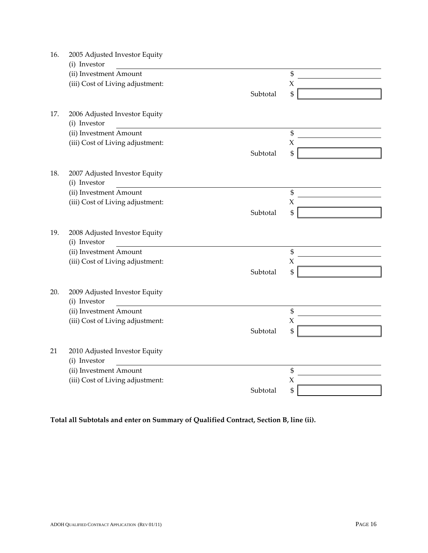| 16. | 2005 Adjusted Investor Equity                 |          |                |
|-----|-----------------------------------------------|----------|----------------|
|     | (i) Investor                                  |          |                |
|     | (ii) Investment Amount                        |          | \$             |
|     | (iii) Cost of Living adjustment:              |          | X              |
|     |                                               | Subtotal | \$             |
|     |                                               |          |                |
| 17. | 2006 Adjusted Investor Equity                 |          |                |
|     | (i) Investor                                  |          |                |
|     | (ii) Investment Amount                        |          | \$             |
|     | (iii) Cost of Living adjustment:              |          | $\chi$         |
|     |                                               | Subtotal | \$             |
|     |                                               |          |                |
| 18. | 2007 Adjusted Investor Equity<br>(i) Investor |          |                |
|     | (ii) Investment Amount                        |          | $\mathfrak{S}$ |
|     | (iii) Cost of Living adjustment:              |          | $\chi$         |
|     |                                               | Subtotal | \$             |
|     |                                               |          |                |
| 19. | 2008 Adjusted Investor Equity                 |          |                |
|     | (i) Investor                                  |          |                |
|     | (ii) Investment Amount                        |          | \$             |
|     | (iii) Cost of Living adjustment:              |          | $\chi$         |
|     |                                               | Subtotal | \$             |
|     |                                               |          |                |
| 20. | 2009 Adjusted Investor Equity                 |          |                |
|     | (i) Investor                                  |          |                |
|     | (ii) Investment Amount                        |          | \$             |
|     | (iii) Cost of Living adjustment:              |          | $\chi$         |
|     |                                               | Subtotal | \$             |
|     |                                               |          |                |
| 21  | 2010 Adjusted Investor Equity                 |          |                |
|     | (i) Investor                                  |          |                |
|     | (ii) Investment Amount                        |          | \$             |
|     | (iii) Cost of Living adjustment:              |          | X              |
|     |                                               | Subtotal | \$             |

**Total all Subtotals and enter on Summary of Qualified Contract, Section B, line (ii).**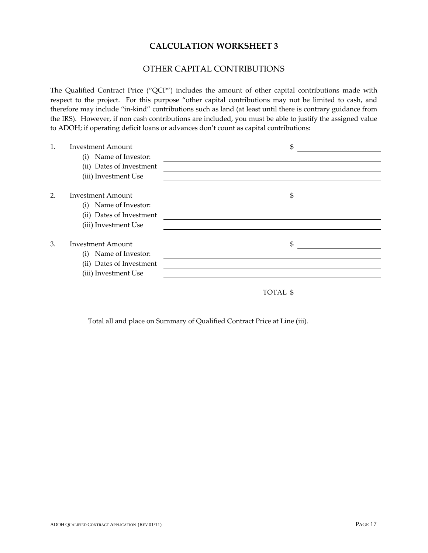#### OTHER CAPITAL CONTRIBUTIONS

The Qualified Contract Price ("QCP") includes the amount of other capital contributions made with respect to the project. For this purpose "other capital contributions may not be limited to cash, and therefore may include "in-kind" contributions such as land (at least until there is contrary guidance from the IRS). However, if non cash contributions are included, you must be able to justify the assigned value to ADOH; if operating deficit loans or advances don't count as capital contributions:

| 1.               | <b>Investment Amount</b> | \$       |
|------------------|--------------------------|----------|
|                  | Name of Investor:<br>(i) |          |
|                  | (ii) Dates of Investment |          |
|                  | (iii) Investment Use     |          |
| $\overline{2}$ . | <b>Investment Amount</b> | \$       |
|                  | Name of Investor:<br>(i) |          |
|                  | (ii) Dates of Investment |          |
|                  | (iii) Investment Use     |          |
| 3.               | <b>Investment Amount</b> | \$       |
|                  | Name of Investor:<br>(i) |          |
|                  | (ii) Dates of Investment |          |
|                  | (iii) Investment Use     |          |
|                  |                          | TOTAL \$ |
|                  |                          |          |

Total all and place on Summary of Qualified Contract Price at Line (iii).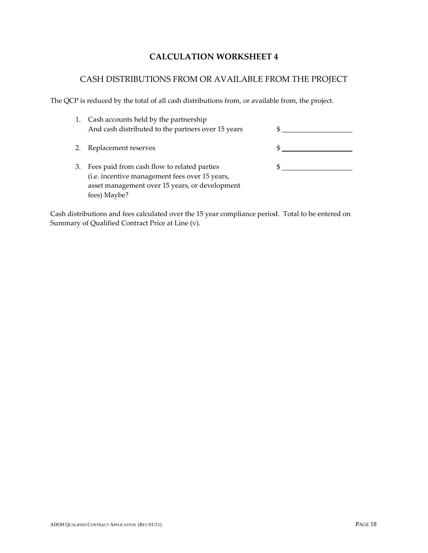# CASH DISTRIBUTIONS FROM OR AVAILABLE FROM THE PROJECT

The QCP is reduced by the total of all cash distributions from, or available from, the project.

| 1. | Cash accounts held by the partnership<br>And cash distributed to the partners over 15 years                                                                     |  |
|----|-----------------------------------------------------------------------------------------------------------------------------------------------------------------|--|
|    | Replacement reserves                                                                                                                                            |  |
| 3. | Fees paid from cash flow to related parties<br>(i.e. incentive management fees over 15 years,<br>asset management over 15 years, or development<br>fees) Maybe? |  |

Cash distributions and fees calculated over the 15 year compliance period. Total to be entered on Summary of Qualified Contract Price at Line (v).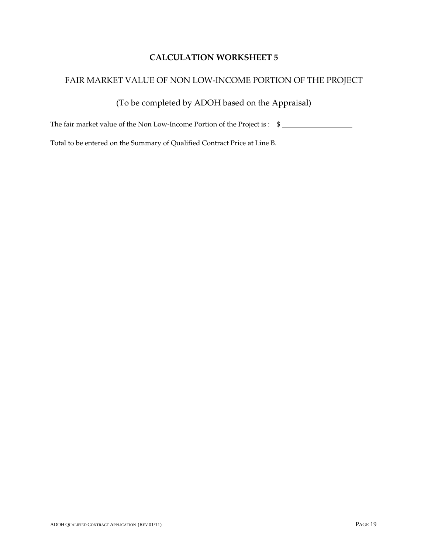### FAIR MARKET VALUE OF NON LOW‐INCOME PORTION OF THE PROJECT

(To be completed by ADOH based on the Appraisal)

The fair market value of the Non Low-Income Portion of the Project is : \$

Total to be entered on the Summary of Qualified Contract Price at Line B.